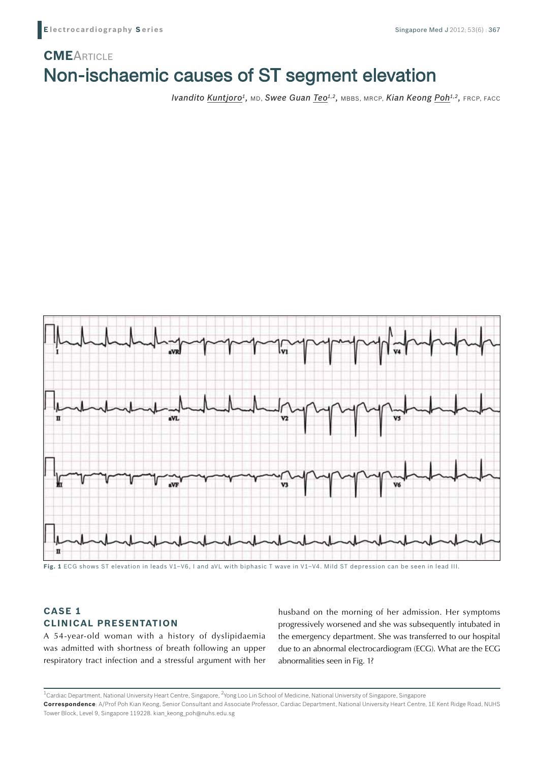# Non-ischaemic causes of ST segment elevation **CME**ARTICLE

*Ivandito Kuntjoro<sup>1</sup>*, MD, *Swee Guan Teo<sup>1,2</sup>*, MBBS, MRCP, *Kian Keong Poh<sup>1,2</sup>, FRCP*, FACC



## **CASE 1 CLINICAL PRESENTATION**

A 54-year-old woman with a history of dyslipidaemia was admitted with shortness of breath following an upper respiratory tract infection and a stressful argument with her husband on the morning of her admission. Her symptoms progressively worsened and she was subsequently intubated in the emergency department. She was transferred to our hospital due to an abnormal electrocardiogram (ECG). What are the ECG abnormalities seen in Fig. 1?

<sup>1</sup>Cardiac Department, National University Heart Centre, Singapore, <sup>2</sup>Yong Loo Lin School of Medicine, National University of Singapore, Singapore **Correspondence**: A/Prof Poh Kian Keong, Senior Consultant and Associate Professor, Cardiac Department, National University Heart Centre, 1E Kent Ridge Road, NUHS Tower Block, Level 9, Singapore 119228. kian\_keong\_poh@nuhs.edu.sg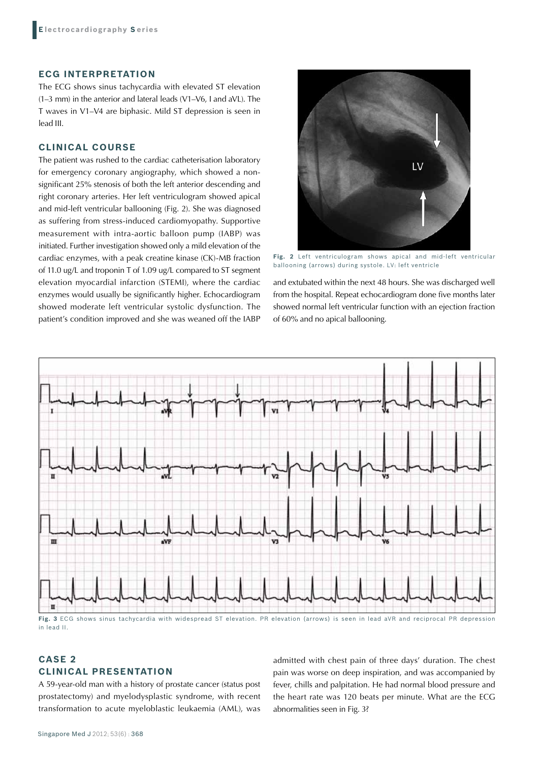## **ECG INTERPRETATION**

The ECG shows sinus tachycardia with elevated ST elevation (1–3 mm) in the anterior and lateral leads (V1–V6, I and aVL). The T waves in V1–V4 are biphasic. Mild ST depression is seen in lead III.

## **CLINICAL COURSE**

The patient was rushed to the cardiac catheterisation laboratory for emergency coronary angiography, which showed a nonsignificant 25% stenosis of both the left anterior descending and right coronary arteries. Her left ventriculogram showed apical and mid-left ventricular ballooning (Fig. 2). She was diagnosed as suffering from stress-induced cardiomyopathy. Supportive measurement with intra-aortic balloon pump (IABP) was initiated. Further investigation showed only a mild elevation of the cardiac enzymes, with a peak creatine kinase (CK)-MB fraction of 11.0 ug/L and troponin T of 1.09 ug/L compared to ST segment elevation myocardial infarction (STEMI), where the cardiac enzymes would usually be significantly higher. Echocardiogram showed moderate left ventricular systolic dysfunction. The patient's condition improved and she was weaned off the IABP



**Fig. 2** Left ventriculogram shows apical and mid-left ventricular ballooning (arrows) during systole. LV: left ventricle

and extubated within the next 48 hours. She was discharged well from the hospital. Repeat echocardiogram done five months later showed normal left ventricular function with an ejection fraction of 60% and no apical ballooning.



**Fig. 3** ECG shows sinus tachycardia with widespread ST elevation. PR elevation (arrows) is seen in lead aVR and reciprocal PR depression in lead II.

## **CASE 2 CLINICAL PRESENTATION**

A 59-year-old man with a history of prostate cancer (status post prostatectomy) and myelodysplastic syndrome, with recent transformation to acute myeloblastic leukaemia (AML), was admitted with chest pain of three days' duration. The chest pain was worse on deep inspiration, and was accompanied by fever, chills and palpitation. He had normal blood pressure and the heart rate was 120 beats per minute. What are the ECG abnormalities seen in Fig. 3?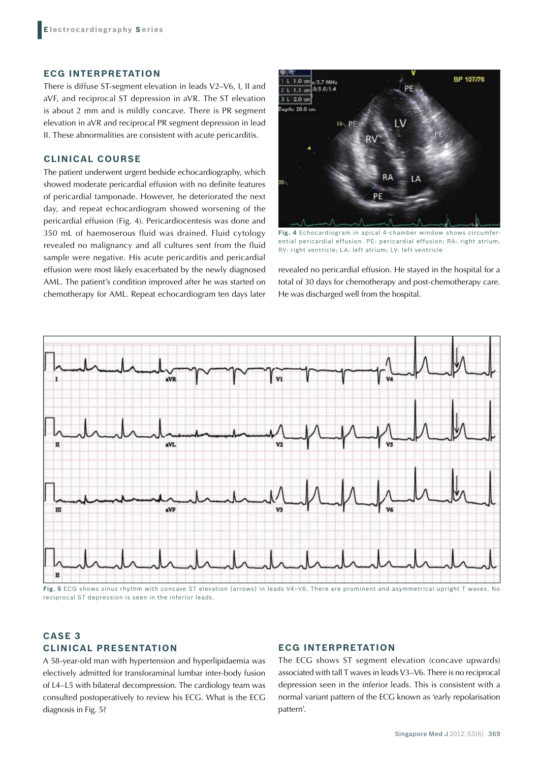#### **ECG INTERPRETATION**

There is diffuse ST-segment elevation in leads V2–V6, I, II and aVF, and reciprocal ST depression in aVR. The ST elevation is about 2 mm and is mildly concave. There is PR segment elevation in aVR and reciprocal PR segment depression in lead II. These abnormalities are consistent with acute pericarditis.

### **CLINICAL COURSE**

The patient underwent urgent bedside echocardiography, which showed moderate pericardial effusion with no definite features of pericardial tamponade. However, he deteriorated the next day, and repeat echocardiogram showed worsening of the pericardial effusion (Fig. 4). Pericardiocentesis was done and 350 mL of haemoserous fluid was drained. Fluid cytology revealed no malignancy and all cultures sent from the fluid sample were negative. His acute pericarditis and pericardial effusion were most likely exacerbated by the newly diagnosed AML. The patient's condition improved after he was started on chemotherapy for AML. Repeat echocardiogram ten days later



**Fig. 4** Echocardiogram in apical 4-chamber window shows circumferential pericardial effusion. PE: pericardial effusion; RA: right atrium; RV: right ventricle; LA: left atrium; LV: left ventricle

revealed no pericardial effusion. He stayed in the hospital for a total of 30 days for chemotherapy and post-chemotherapy care. He was discharged well from the hospital.



**Fig. 5** ECG shows sinus rhythm with concave ST elevation (arrows) in leads V4–V6. There are prominent and asymmetrical upright T waves. No reciprocal ST depression is seen in the inferior leads.

## **CASE 3 CLINICAL PRESENTATION**

## **ECG INTERPRETATION**

A 58-year-old man with hypertension and hyperlipidaemia was electively admitted for transforaminal lumbar inter-body fusion of L4–L5 with bilateral decompression. The cardiology team was consulted postoperatively to review his ECG. What is the ECG diagnosis in Fig. 5?

The ECG shows ST segment elevation (concave upwards) associated with tall T waves in leads V3–V6. There is no reciprocal depression seen in the inferior leads. This is consistent with a normal variant pattern of the ECG known as 'early repolarisation pattern'.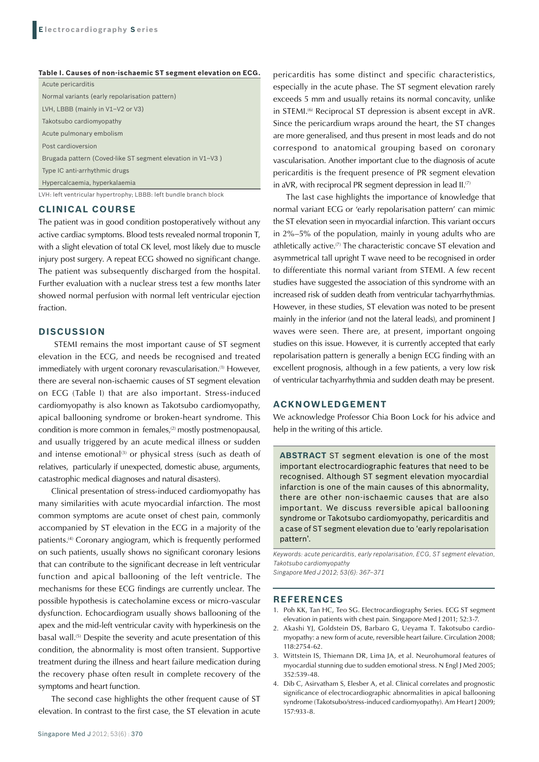**Table I. Causes of non-ischaemic ST segment elevation on ECG.**

| Acute pericarditis                                                |
|-------------------------------------------------------------------|
| Normal variants (early repolarisation pattern)                    |
| LVH, LBBB (mainly in $V1-V2$ or $V3$ )                            |
| Takotsubo cardiomyopathy                                          |
| Acute pulmonary embolism                                          |
| Post cardioversion                                                |
| Brugada pattern (Coved-like ST segment elevation in V1-V3)        |
| Type IC anti-arrhythmic drugs                                     |
| Hypercalcaemia, hyperkalaemia                                     |
| LVH: left ventricular hypertrophy; LBBB: left bundle branch block |

#### **CLINICAL COURSE**

The patient was in good condition postoperatively without any active cardiac symptoms. Blood tests revealed normal troponin T, with a slight elevation of total CK level, most likely due to muscle injury post surgery. A repeat ECG showed no significant change. The patient was subsequently discharged from the hospital. Further evaluation with a nuclear stress test a few months later showed normal perfusion with normal left ventricular ejection fraction.

#### **DISCUSSION**

 STEMI remains the most important cause of ST segment elevation in the ECG, and needs be recognised and treated immediately with urgent coronary revascularisation.<sup>(1)</sup> However, there are several non-ischaemic causes of ST segment elevation on ECG (Table I) that are also important. Stress-induced cardiomyopathy is also known as Takotsubo cardiomyopathy, apical ballooning syndrome or broken-heart syndrome. This condition is more common in females,<sup>(2)</sup> mostly postmenopausal, and usually triggered by an acute medical illness or sudden and intense emotional<sup>(3)</sup> or physical stress (such as death of relatives, particularly if unexpected, domestic abuse, arguments, catastrophic medical diagnoses and natural disasters).

Clinical presentation of stress-induced cardiomyopathy has many similarities with acute myocardial infarction. The most common symptoms are acute onset of chest pain, commonly accompanied by ST elevation in the ECG in a majority of the patients.(4) Coronary angiogram, which is frequently performed on such patients, usually shows no significant coronary lesions that can contribute to the significant decrease in left ventricular function and apical ballooning of the left ventricle. The mechanisms for these ECG findings are currently unclear. The possible hypothesis is catecholamine excess or micro-vascular dysfunction. Echocardiogram usually shows ballooning of the apex and the mid-left ventricular cavity with hyperkinesis on the basal wall.<sup>(5)</sup> Despite the severity and acute presentation of this condition, the abnormality is most often transient. Supportive treatment during the illness and heart failure medication during the recovery phase often result in complete recovery of the symptoms and heart function.

The second case highlights the other frequent cause of ST elevation. In contrast to the first case, the ST elevation in acute pericarditis has some distinct and specific characteristics, especially in the acute phase. The ST segment elevation rarely exceeds 5 mm and usually retains its normal concavity, unlike in STEMI.(6) Reciprocal ST depression is absent except in aVR. Since the pericardium wraps around the heart, the ST changes are more generalised, and thus present in most leads and do not correspond to anatomical grouping based on coronary vascularisation. Another important clue to the diagnosis of acute pericarditis is the frequent presence of PR segment elevation in aVR, with reciprocal PR segment depression in lead  $II^{(7)}$ .

The last case highlights the importance of knowledge that normal variant ECG or 'early repolarisation pattern' can mimic the ST elevation seen in myocardial infarction. This variant occurs in 2%–5% of the population, mainly in young adults who are athletically active.(7) The characteristic concave ST elevation and asymmetrical tall upright T wave need to be recognised in order to differentiate this normal variant from STEMI. A few recent studies have suggested the association of this syndrome with an increased risk of sudden death from ventricular tachyarrhythmias. However, in these studies, ST elevation was noted to be present mainly in the inferior (and not the lateral leads), and prominent J waves were seen. There are, at present, important ongoing studies on this issue. However, it is currently accepted that early repolarisation pattern is generally a benign ECG finding with an excellent prognosis, although in a few patients, a very low risk of ventricular tachyarrhythmia and sudden death may be present.

### **Acknowledgement**

We acknowledge Professor Chia Boon Lock for his advice and help in the writing of this article.

**ABSTRACT** ST segment elevation is one of the most important electrocardiographic features that need to be recognised. Although ST segment elevation myocardial infarction is one of the main causes of this abnormality, there are other non-ischaemic causes that are also important. We discuss reversible apical ballooning syndrome or Takotsubo cardiomyopathy, pericarditis and a case of ST segment elevation due to 'early repolarisation pattern'.

*Keywords: acute pericarditis, early repolarisation, ECG, ST segment elevation, Takotsubo cardiomyopathy*

*Singapore Med J 2012; 53(6): 367–371*

#### **REFERENCES**

- 1. Poh KK, Tan HC, Teo SG. Electrocardiography Series. ECG ST segment elevation in patients with chest pain. Singapore Med J 2011; 52:3-7.
- 2. Akashi YJ, Goldstein DS, Barbaro G, Ueyama T. Takotsubo cardiomyopathy: a new form of acute, reversible heart failure. Circulation 2008; 118:2754-62.
- 3. Wittstein IS, Thiemann DR, Lima JA, et al. Neurohumoral features of myocardial stunning due to sudden emotional stress. N Engl J Med 2005; 352:539-48.
- 4. Dib C, Asirvatham S, Elesber A, et al. Clinical correlates and prognostic significance of electrocardiographic abnormalities in apical ballooning syndrome (Takotsubo/stress-induced cardiomyopathy). Am Heart J 2009; 157:933-8.